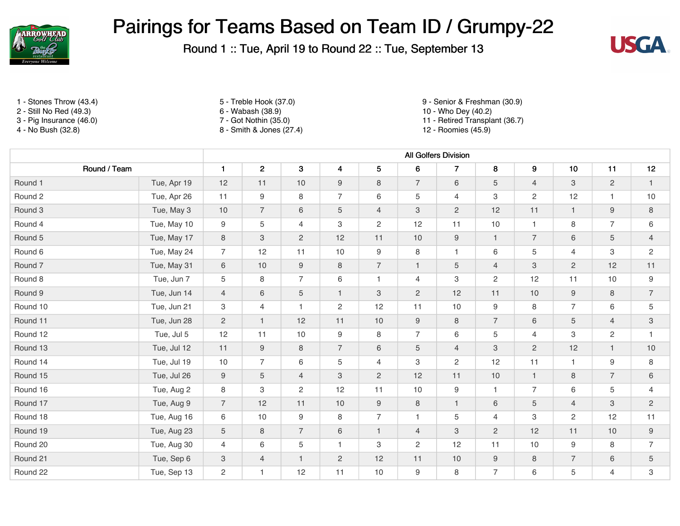

Round 1 :: Tue, April 19 to Round 22 :: Tue, September 13



- 2 Still No Red (49.3) 6 Wabash (38.9) 10 Who Dey (40.2)
- 

- 
- 
- 8 Smith & Jones (27.4)

1 - Stones Throw (43.4) 5 - Treble Hook (37.0) 9 - Senior & Freshman (30.9)

3 - Pig Insurance (46.0) <br>
4 - No Bush (32.8) <br>
4 - No Bush (32.8) <br>
3 - Smith & Jones (27.4) <br>
3 - Smith & Jones (27.4) <br>
4 - No Bush (32.8) <br>
4 - Roomies (45.9)

|                    |             | <b>All Golfers Division</b> |                           |                |                         |                |                  |                  |                |                           |                |                |                |
|--------------------|-------------|-----------------------------|---------------------------|----------------|-------------------------|----------------|------------------|------------------|----------------|---------------------------|----------------|----------------|----------------|
| Round / Team       |             | $\mathbf{1}$                | $\overline{2}$            | $\mathbf 3$    | $\overline{\mathbf{4}}$ | 5              | 6                | $\overline{7}$   | 8              | 9                         | 10             | 11             | 12             |
| Round 1            | Tue, Apr 19 | 12                          | 11                        | 10             | 9                       | 8              | $\overline{7}$   | 6                | 5              | $\overline{4}$            | 3              | $\overline{2}$ | $\mathbf{1}$   |
| Round 2            | Tue, Apr 26 | 11                          | $9\,$                     | 8              | $\overline{7}$          | 6              | 5                | $\overline{4}$   | 3              | $\mathbf{2}$              | 12             | 1              | 10             |
| Round 3            | Tue, May 3  | $10$                        | $\overline{7}$            | $6\,$          | 5                       | $\overline{4}$ | $\mathbf{3}$     | $\mathbf{2}$     | 12             | 11                        | $\mathbf{1}$   | 9              | 8              |
| Round 4            | Tue, May 10 | 9                           | $\,$ 5 $\,$               | $\overline{4}$ | 3                       | $\overline{c}$ | 12               | 11               | 10             | $\overline{1}$            | 8              | $\overline{7}$ | 6              |
| Round 5            | Tue, May 17 | 8                           | $\ensuremath{\mathsf{3}}$ | $\mathbf{2}$   | 12                      | 11             | 10               | $\boldsymbol{9}$ | $\mathbf{1}$   | $\overline{7}$            | 6              | 5              | $\overline{4}$ |
| Round 6            | Tue, May 24 | $\overline{7}$              | 12                        | 11             | 10                      | 9              | 8                | $\mathbf{1}$     | 6              | 5                         | $\overline{4}$ | 3              | $\mathbf{2}$   |
| Round <sub>7</sub> | Tue, May 31 | 6                           | 10                        | $9\,$          | 8                       | $\overline{7}$ | $\mathbf{1}$     | 5                | $\overline{4}$ | $\ensuremath{\mathsf{3}}$ | $\overline{2}$ | 12             | 11             |
| Round 8            | Tue, Jun 7  | 5                           | 8                         | $\overline{7}$ | 6                       | $\mathbf{1}$   | 4                | 3                | $\overline{2}$ | 12                        | 11             | 10             | 9              |
| Round 9            | Tue, Jun 14 | $\overline{4}$              | $\,6\,$                   | $\overline{5}$ | $\mathbf{1}$            | 3              | $\overline{2}$   | 12               | 11             | $10$                      | 9              | 8              | $\overline{7}$ |
| Round 10           | Tue, Jun 21 | 3                           | 4                         | $\mathbf{1}$   | $\overline{2}$          | 12             | 11               | 10               | 9              | 8                         | $\overline{7}$ | 6              | 5              |
| Round 11           | Tue, Jun 28 | $\overline{2}$              | $\mathbf{1}$              | 12             | 11                      | 10             | $\boldsymbol{9}$ | 8                | $\overline{7}$ | 6                         | 5              | $\overline{4}$ | $\mathbf{3}$   |
| Round 12           | Tue, Jul 5  | 12                          | 11                        | 10             | 9                       | 8              | $\overline{7}$   | 6                | 5              | $\overline{4}$            | 3              | $\overline{c}$ | $\mathbf{1}$   |
| Round 13           | Tue, Jul 12 | 11                          | $9\,$                     | 8              | $\overline{7}$          | $\,6$          | $\sqrt{5}$       | $\overline{4}$   | 3              | $\mathbf{2}$              | 12             | $\mathbf{1}$   | 10             |
| Round 14           | Tue, Jul 19 | 10                          | $\overline{7}$            | 6              | 5                       | 4              | 3                | $\overline{c}$   | 12             | 11                        |                | 9              | 8              |
| Round 15           | Tue, Jul 26 | 9                           | $\mathbf 5$               | $\overline{4}$ | 3                       | $\mathbf{2}$   | 12               | 11               | 10             | $\overline{1}$            | 8              | $\overline{7}$ | $6\,$          |
| Round 16           | Tue, Aug 2  | 8                           | 3                         | $\overline{2}$ | 12                      | 11             | 10               | $9\,$            | $\mathbf{1}$   | $\overline{7}$            | 6              | 5              | 4              |
| Round 17           | Tue, Aug 9  | $\overline{7}$              | 12                        | 11             | 10                      | 9              | 8                | $\mathbf{1}$     | 6              | 5                         | $\overline{4}$ | 3              | $\overline{2}$ |
| Round 18           | Tue, Aug 16 | 6                           | 10                        | 9              | 8                       | $\overline{7}$ | $\mathbf{1}$     | 5                | $\overline{4}$ | 3                         | $\overline{c}$ | 12             | 11             |
| Round 19           | Tue, Aug 23 | 5                           | 8                         | $\overline{7}$ | 6                       | $\mathbf{1}$   | $\overline{4}$   | 3                | $\overline{2}$ | 12                        | 11             | 10             | 9              |
| Round 20           | Tue, Aug 30 | 4                           | 6                         | 5              | $\mathbf{1}$            | 3              | $\overline{c}$   | 12               | 11             | 10                        | 9              | 8              | $\overline{7}$ |
| Round 21           | Tue, Sep 6  | $\ensuremath{\mathsf{3}}$   | $\overline{4}$            | $\mathbf{1}$   | $\overline{c}$          | 12             | 11               | 10               | $9\,$          | 8                         | $\overline{7}$ | 6              | 5              |
| Round 22           | Tue, Sep 13 | $\mathbf{2}^{\prime}$       | $\mathbf{1}$              | 12             | 11                      | 10             | $\boldsymbol{9}$ | 8                | $\overline{7}$ | 6                         | 5              | $\overline{4}$ | 3              |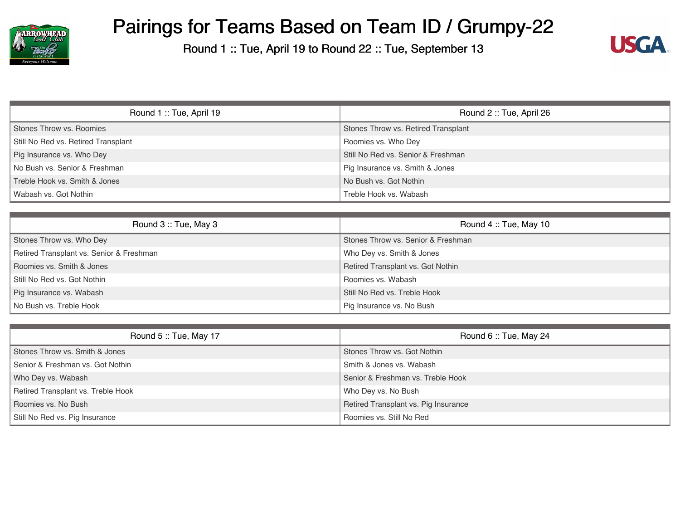

Round 1 :: Tue, April 19 to Round 22 :: Tue, September 13



| Round 1: Tue, April 19              | Round 2: Tue, April 26              |  |  |
|-------------------------------------|-------------------------------------|--|--|
| Stones Throw vs. Roomies            | Stones Throw vs. Retired Transplant |  |  |
| Still No Red vs. Retired Transplant | Roomies vs. Who Dey                 |  |  |
| Pig Insurance vs. Who Dey           | Still No Red vs. Senior & Freshman  |  |  |
| No Bush vs. Senior & Freshman       | Pig Insurance vs. Smith & Jones     |  |  |
| Treble Hook vs. Smith & Jones       | No Bush vs. Got Nothin              |  |  |
| Wabash vs. Got Nothin               | Treble Hook vs. Wabash              |  |  |

| Round 3: Tue, May 3                      | Round 4: Tue, May 10               |
|------------------------------------------|------------------------------------|
| Stones Throw vs. Who Dey                 | Stones Throw vs. Senior & Freshman |
| Retired Transplant vs. Senior & Freshman | Who Dey vs. Smith & Jones          |
| Roomies vs. Smith & Jones                | Retired Transplant vs. Got Nothin  |
| Still No Red vs. Got Nothin              | Roomies vs. Wabash                 |
| Pig Insurance vs. Wabash                 | Still No Red vs. Treble Hook       |
| No Bush vs. Treble Hook                  | Pig Insurance vs. No Bush          |

| Round 5: Tue, May 17               | Round 6: Tue, May 24                 |
|------------------------------------|--------------------------------------|
| Stones Throw vs. Smith & Jones     | Stones Throw vs. Got Nothin          |
| Senior & Freshman vs. Got Nothin   | Smith & Jones vs. Wabash             |
| Who Dey vs. Wabash                 | Senior & Freshman vs. Treble Hook    |
| Retired Transplant vs. Treble Hook | Who Dey vs. No Bush                  |
| Roomies vs. No Bush                | Retired Transplant vs. Pig Insurance |
| Still No Red vs. Pig Insurance     | Roomies vs. Still No Red             |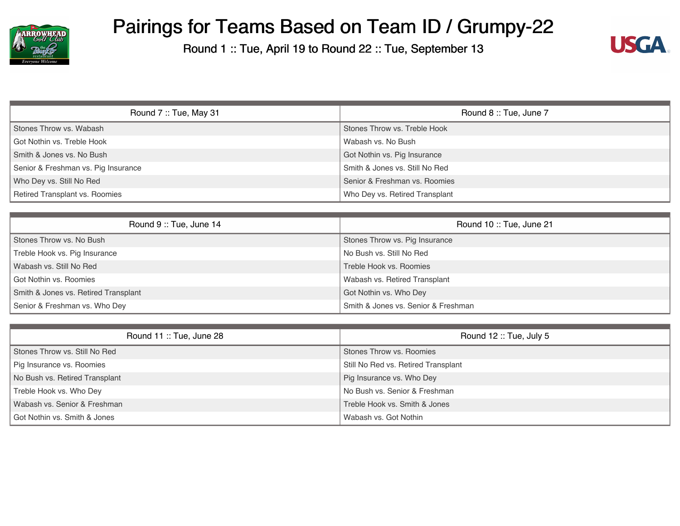

Round 1 :: Tue, April 19 to Round 22 :: Tue, September 13



| Round 7: Tue, May 31                | Round 8 :: Tue, June 7         |
|-------------------------------------|--------------------------------|
| Stones Throw vs. Wabash             | Stones Throw vs. Treble Hook   |
| Got Nothin vs. Treble Hook          | Wabash vs. No Bush             |
| Smith & Jones vs. No Bush           | Got Nothin vs. Pig Insurance   |
| Senior & Freshman vs. Pig Insurance | Smith & Jones vs. Still No Red |
| Who Dey vs. Still No Red            | Senior & Freshman vs. Roomies  |
| Retired Transplant vs. Roomies      | Who Dey vs. Retired Transplant |

| Round 9: Tue, June 14                | Round 10: Tue, June 21               |
|--------------------------------------|--------------------------------------|
| Stones Throw vs. No Bush             | Stones Throw vs. Pig Insurance       |
| Treble Hook vs. Pig Insurance        | No Bush vs. Still No Red             |
| Wabash vs. Still No Red              | Treble Hook vs. Roomies              |
| Got Nothin vs. Roomies               | <b>Wabash vs. Retired Transplant</b> |
| Smith & Jones vs. Retired Transplant | Got Nothin vs. Who Dey               |
| Senior & Freshman vs. Who Dey        | Smith & Jones vs. Senior & Freshman  |

| Round 11: Tue, June 28         | Round 12: Tue, July 5               |
|--------------------------------|-------------------------------------|
| Stones Throw vs. Still No Red  | Stones Throw vs. Roomies            |
| Pig Insurance vs. Roomies      | Still No Red vs. Retired Transplant |
| No Bush vs. Retired Transplant | Pig Insurance vs. Who Dey           |
| Treble Hook vs. Who Dey        | No Bush vs. Senior & Freshman       |
| Wabash vs. Senior & Freshman   | Treble Hook vs. Smith & Jones       |
| Got Nothin vs. Smith & Jones   | Wabash vs. Got Nothin               |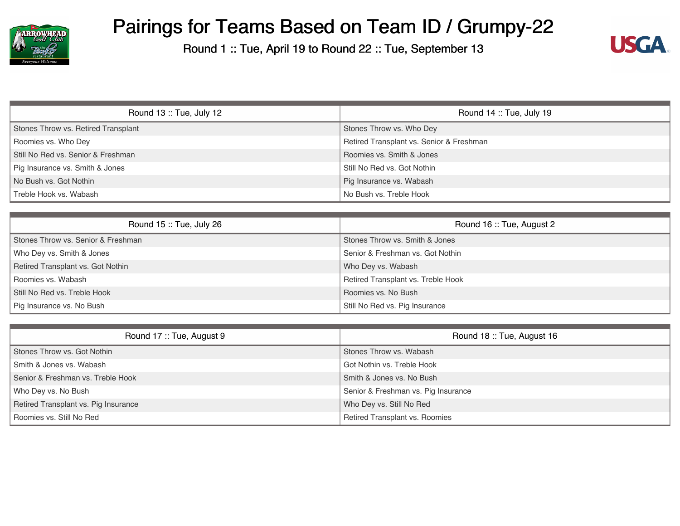

Round 1 :: Tue, April 19 to Round 22 :: Tue, September 13



| Round $13::$ Tue, July $12$         | Round $14$ :: Tue, July 19               |  |  |
|-------------------------------------|------------------------------------------|--|--|
| Stones Throw vs. Retired Transplant | Stones Throw vs. Who Dey                 |  |  |
| Roomies vs. Who Dey                 | Retired Transplant vs. Senior & Freshman |  |  |
| Still No Red vs. Senior & Freshman  | Roomies vs. Smith & Jones                |  |  |
| Pig Insurance vs. Smith & Jones     | Still No Red vs. Got Nothin              |  |  |
| No Bush vs. Got Nothin              | Pig Insurance vs. Wabash                 |  |  |
| Treble Hook vs. Wabash              | No Bush vs. Treble Hook                  |  |  |

| Round $15$ :: Tue, July 26         | Round 16: Tue, August 2            |  |  |
|------------------------------------|------------------------------------|--|--|
| Stones Throw vs. Senior & Freshman | Stones Throw vs. Smith & Jones     |  |  |
| Who Dey vs. Smith & Jones          | Senior & Freshman vs. Got Nothin   |  |  |
| Retired Transplant vs. Got Nothin  | Who Dey vs. Wabash                 |  |  |
| Roomies vs. Wabash                 | Retired Transplant vs. Treble Hook |  |  |
| Still No Red vs. Treble Hook       | Roomies vs. No Bush                |  |  |
| Pig Insurance vs. No Bush          | Still No Red vs. Pig Insurance     |  |  |

| Round 17: Tue, August 9              | Round 18: Tue, August 16            |
|--------------------------------------|-------------------------------------|
| Stones Throw vs. Got Nothin          | Stones Throw vs. Wabash             |
| Smith & Jones vs. Wabash             | Got Nothin vs. Treble Hook          |
| Senior & Freshman vs. Treble Hook    | Smith & Jones vs. No Bush           |
| Who Dey vs. No Bush                  | Senior & Freshman vs. Pig Insurance |
| Retired Transplant vs. Pig Insurance | Who Dey vs. Still No Red            |
| Roomies vs. Still No Red             | Retired Transplant vs. Roomies      |